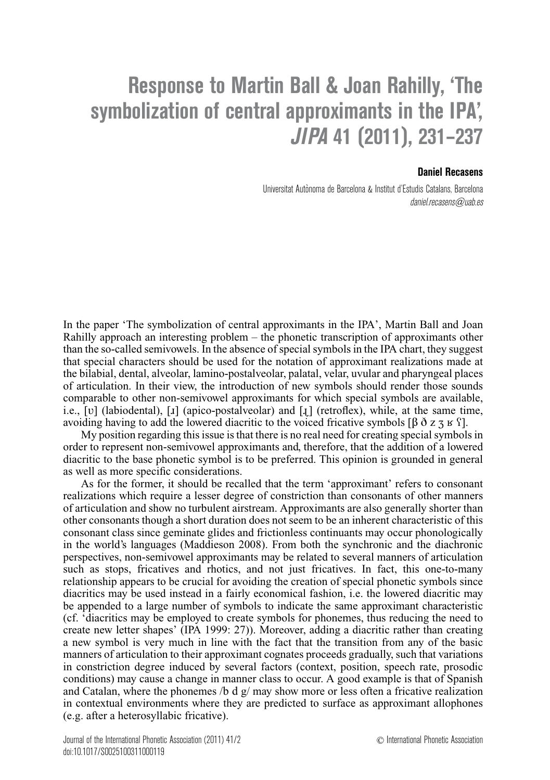## **Response to Martin Ball & Joan Rahilly, 'The symbolization of central approximants in the IPA', JIPA 41 (2011), 231–237**

## **Daniel Recasens**

Universitat Autonoma de Barcelona & Institut d'Estudis Catalans, Barcelona ` daniel.recasens@uab.es

In the paper 'The symbolization of central approximants in the IPA', Martin Ball and Joan Rahilly approach an interesting problem – the phonetic transcription of approximants other than the so-called semivowels. In the absence of special symbols in the IPA chart, they suggest that special characters should be used for the notation of approximant realizations made at the bilabial, dental, alveolar, lamino-postalveolar, palatal, velar, uvular and pharyngeal places of articulation. In their view, the introduction of new symbols should render those sounds comparable to other non-semivowel approximants for which special symbols are available, i.e.,  $[v]$  (labiodental),  $[x]$  (apico-postalveolar) and  $[x]$  (retroflex), while, at the same time, avoiding having to add the lowered diacritic to the voiced fricative symbols [β  $\delta$  z z  $\kappa$  f].

My position regarding this issue is that there is no real need for creating special symbols in order to represent non-semivowel approximants and, therefore, that the addition of a lowered diacritic to the base phonetic symbol is to be preferred. This opinion is grounded in general as well as more specific considerations.

As for the former, it should be recalled that the term 'approximant' refers to consonant realizations which require a lesser degree of constriction than consonants of other manners of articulation and show no turbulent airstream. Approximants are also generally shorter than other consonants though a short duration does not seem to be an inherent characteristic of this consonant class since geminate glides and frictionless continuants may occur phonologically in the world's languages (Maddieson 2008). From both the synchronic and the diachronic perspectives, non-semivowel approximants may be related to several manners of articulation such as stops, fricatives and rhotics, and not just fricatives. In fact, this one-to-many relationship appears to be crucial for avoiding the creation of special phonetic symbols since diacritics may be used instead in a fairly economical fashion, i.e. the lowered diacritic may be appended to a large number of symbols to indicate the same approximant characteristic (cf. 'diacritics may be employed to create symbols for phonemes, thus reducing the need to create new letter shapes' (IPA 1999: 27)). Moreover, adding a diacritic rather than creating a new symbol is very much in line with the fact that the transition from any of the basic manners of articulation to their approximant cognates proceeds gradually, such that variations in constriction degree induced by several factors (context, position, speech rate, prosodic conditions) may cause a change in manner class to occur. A good example is that of Spanish and Catalan, where the phonemes /b d  $g/may$  show more or less often a fricative realization in contextual environments where they are predicted to surface as approximant allophones (e.g. after a heterosyllabic fricative).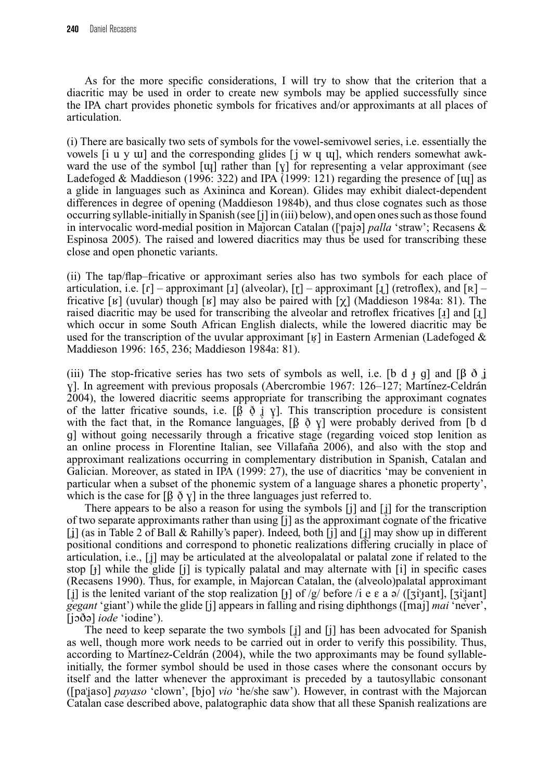As for the more specific considerations, I will try to show that the criterion that a diacritic may be used in order to create new symbols may be applied successfully since the IPA chart provides phonetic symbols for fricatives and/or approximants at all places of articulation.

(i) There are basically two sets of symbols for the vowel-semivowel series, i.e. essentially the vowels [i u y  $\pi$ ] and the corresponding glides [j w  $\pi$   $\pi$ ], which renders somewhat awkward the use of the symbol [ $\mu$ ] rather than [ $\chi$ ] for representing a velar approximant (see Ladefoged & Maddieson (1996: 322) and IPA  $(1999: 121)$  regarding the presence of [ $\mu$ ] as a glide in languages such as Axininca and Korean). Glides may exhibit dialect-dependent differences in degree of opening (Maddieson 1984b), and thus close cognates such as those occurring syllable-initially in Spanish (see [j] in (iii) below), and open ones such as those found in intervocalic word-medial position in Majorcan Catalan (['pajə] *palla* 'straw'; Recasens & Espinosa 2005). The raised and lowered diacritics may thus be used for transcribing these close and open phonetic variants.

(ii) The tap/flap–fricative or approximant series also has two symbols for each place of articulation, i.e.  $[r]$  – approximant [1] (alveolar),  $[r]$  – approximant [1] (retroflex), and  $[R]$  – fricative [ $\mathbf{g}$ ] (uvular) though [ $\mathbf{g}$ ] may also be paired with [ $\gamma$ ] (Maddieson 1984a: 81). The raised diacritic may be used for transcribing the alveolar and retroflex fricatives  $\begin{bmatrix} 1 \end{bmatrix}$  and  $\begin{bmatrix} 1 \end{bmatrix}$ which occur in some South African English dialects, while the lowered diacritic may be used for the transcription of the uvular approximant [ $\mathbf{y}$ ] in Eastern Armenian (Ladefoged & Maddieson 1996: 165, 236; Maddieson 1984a: 81).

(iii) The stop-fricative series has two sets of symbols as well, i.e. [b d j g] and [β  $\delta$  j v]. In agreement with previous proposals (Abercrombie 1967: 126–127; Martínez-Celdrán 2004), the lowered diacritic seems appropriate for transcribing the approximant cognates of the latter fricative sounds, i.e.  $[\hat{\beta}, \hat{\phi}, \hat{\psi}, \hat{\psi}]$ . This transcription procedure is consistent with the fact that, in the Romance languages,  $[\beta \phi \gamma]$  were probably derived from [b d g] without going necessarily through a fricative stage (regarding voiced stop lenition as an online process in Florentine Italian, see Villafana 2006), and also with the stop and approximant realizations occurring in complementary distribution in Spanish, Catalan and Galician. Moreover, as stated in IPA (1999: 27), the use of diacritics 'may be convenient in particular when a subset of the phonemic system of a language shares a phonetic property', which is the case for  $\left[\beta \phi y\right]$  in the three languages just referred to.

There appears to be also a reason for using the symbols [j] and [į] for the transcription of two separate approximants rather than using [j] as the approximant cognate of the fricative [j] (as in Table 2 of Ball & Rahilly's paper). Indeed, both [j] and [j] may show up in different positional conditions and correspond to phonetic realizations differing crucially in place of articulation, i.e., [i] may be articulated at the alveolopalatal or palatal zone if related to the stop  $\lceil \cdot \rceil$  while the glide  $\lceil \cdot \rceil$  is typically palatal and may alternate with  $\lceil \cdot \rceil$  in specific cases (Recasens 1990). Thus, for example, in Majorcan Catalan, the (alveolo)palatal approximant [i] is the lenited variant of the stop realization [j] of /g/ before /i e  $\varepsilon$  a  $\partial$ / ([zi'jant], [zi'jant] *gegant* 'giant') while the glide [j] appears in falling and rising diphthongs ([maj] *mai* 'never', [joðə] *iode* 'iodine').

The need to keep separate the two symbols [i̯] and [j] has been advocated for Spanish as well, though more work needs to be carried out in order to verify this possibility. Thus, according to Martínez-Celdrán (2004), while the two approximants may be found syllableinitially, the former symbol should be used in those cases where the consonant occurs by itself and the latter whenever the approximant is preceded by a tautosyllabic consonant ([pa'<sub>jaso</sub>] *payaso* 'clown', [bjo] *vio* 'he/she saw'). However, in contrast with the Majorcan Catalan case described above, palatographic data show that all these Spanish realizations are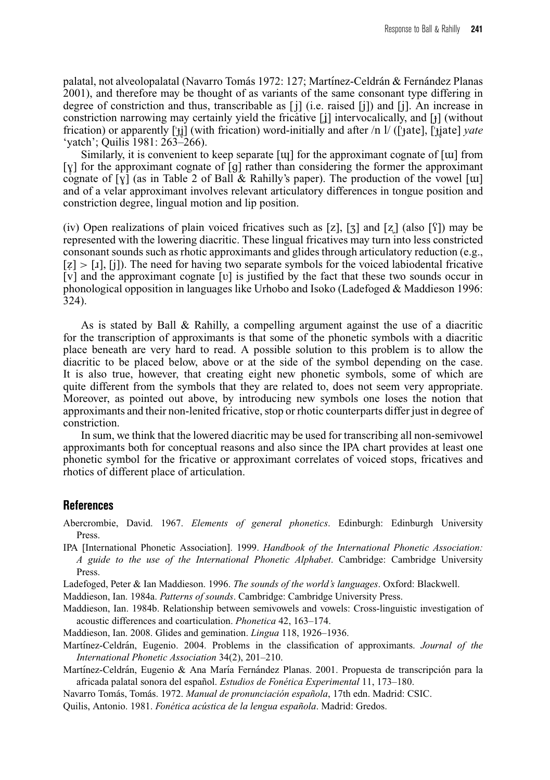palatal, not alveolopalatal (Navarro Tomás 1972: 127; Martínez-Celdrán & Fernández Planas *2001*), and therefore may be thought of as variants of the same consonant type differing in degree of constriction and thus, transcribable as  $[j]$  (i.e. raised  $[j]$ ) and  $[j]$ . An increase in constriction narrowing may certainly yield the fricative  $[j]$  intervocalically, and  $[j]$  (without frication) or apparently ['t̪i̯] (with frication) word-initially and after /n l/ (['tate], ['t̪i̯ate] *yate* 'yatch'; Quilis 1981: 263–266).

Similarly, it is convenient to keep separate  $\lceil \mathrm{u} \rceil$  for the approximant cognate of  $\lceil \mathrm{u} \rceil$  from [y] for the approximant cognate of [g] rather than considering the former the approximant cognate of [ $\chi$ ] (as in Table 2 of Ball & Rahilly's paper). The production of the vowel [ $\mu$ ] and of a velar approximant involves relevant articulatory differences in tongue position and constriction degree, lingual motion and lip position.

(iv) Open realizations of plain voiced fricatives such as [z], [ $\overline{z}$ ] and [z] (also [ $\overline{Y}$ ]) may be represented with the lowering diacritic. These lingual fricatives may turn into less constricted consonant sounds such as rhotic approximants and glides through articulatory reduction (e.g.,  $[z] > [x]$ , [j]). The need for having two separate symbols for the voiced labiodental fricative [v] and the approximant cognate [V] is justified by the fact that these two sounds occur in phonological opposition in languages like Urhobo and Isoko (Ladefoged & Maddieson 1996: 324).

As is stated by Ball & Rahilly, a compelling argument against the use of a diacritic for the transcription of approximants is that some of the phonetic symbols with a diacritic place beneath are very hard to read. A possible solution to this problem is to allow the diacritic to be placed below, above or at the side of the symbol depending on the case. It is also true, however, that creating eight new phonetic symbols, some of which are quite different from the symbols that they are related to, does not seem very appropriate. Moreover, as pointed out above, by introducing new symbols one loses the notion that approximants and their non-lenited fricative, stop or rhotic counterparts differ just in degree of constriction.

In sum, we think that the lowered diacritic may be used for transcribing all non-semivowel approximants both for conceptual reasons and also since the IPA chart provides at least one phonetic symbol for the fricative or approximant correlates of voiced stops, fricatives and rhotics of different place of articulation.

## **References**

- Abercrombie, David. 1967. *Elements of general phonetics*. Edinburgh: Edinburgh University Press.
- IPA [International Phonetic Association]. 1999. *Handbook of the International Phonetic Association: A guide to the use of the International Phonetic Alphabet*. Cambridge: Cambridge University Press.
- Ladefoged, Peter & Ian Maddieson. 1996. *The sounds of the world's languages*. Oxford: Blackwell.

Maddieson, Ian. 1984a. *Patterns of sounds*. Cambridge: Cambridge University Press.

- Maddieson, Ian. 1984b. Relationship between semivowels and vowels: Cross-linguistic investigation of acoustic differences and coarticulation. *Phonetica* 42, 163–174.
- Maddieson, Ian. 2008. Glides and gemination. *Lingua* 118, 1926–1936.
- Martínez-Celdrán, Eugenio. 2004. Problems in the classification of approximants. *Journal of the International Phonetic Association* 34(2), 201–210.
- Martínez-Celdrán, Eugenio & Ana María Fernández Planas. 2001. Propuesta de transcripción para la africada palatal sonora del espanol. ˜ *Estudios de Fonetica Experimental ´* 11, 173–180.

Navarro Tomás, Tomás. 1972. *Manual de pronunciación española*, 17th edn. Madrid: CSIC.

Quilis, Antonio. 1981. *Fonetica ac ´ ustica de la lengua espa ´ nola ˜* . Madrid: Gredos.